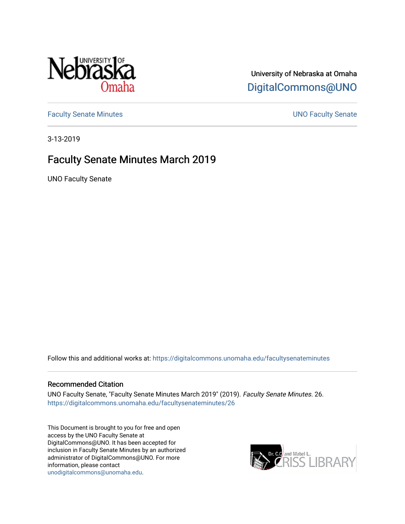

## University of Nebraska at Omaha [DigitalCommons@UNO](https://digitalcommons.unomaha.edu/)

[Faculty Senate Minutes](https://digitalcommons.unomaha.edu/facultysenateminutes) **Example 2018** UNO Faculty Senate

3-13-2019

# Faculty Senate Minutes March 2019

UNO Faculty Senate

Follow this and additional works at: [https://digitalcommons.unomaha.edu/facultysenateminutes](https://digitalcommons.unomaha.edu/facultysenateminutes?utm_source=digitalcommons.unomaha.edu%2Ffacultysenateminutes%2F26&utm_medium=PDF&utm_campaign=PDFCoverPages) 

#### Recommended Citation

UNO Faculty Senate, "Faculty Senate Minutes March 2019" (2019). Faculty Senate Minutes. 26. [https://digitalcommons.unomaha.edu/facultysenateminutes/26](https://digitalcommons.unomaha.edu/facultysenateminutes/26?utm_source=digitalcommons.unomaha.edu%2Ffacultysenateminutes%2F26&utm_medium=PDF&utm_campaign=PDFCoverPages) 

This Document is brought to you for free and open access by the UNO Faculty Senate at DigitalCommons@UNO. It has been accepted for inclusion in Faculty Senate Minutes by an authorized administrator of DigitalCommons@UNO. For more information, please contact [unodigitalcommons@unomaha.edu.](mailto:unodigitalcommons@unomaha.edu)

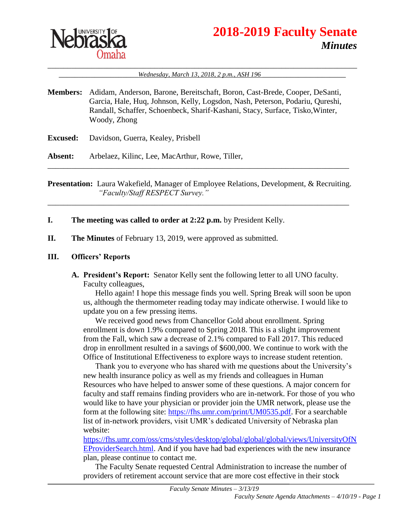

# **2018-2019 Faculty Senate** *Minutes*

#### \_\_\_\_\_\_\_\_\_\_\_\_\_\_\_\_\_\_\_\_\_\_\_\_\_\_\_\_\_\_\_\_\_\_\_\_\_\_\_\_\_\_\_\_\_\_\_\_\_\_\_\_\_\_\_\_\_\_\_\_\_\_\_\_\_\_\_\_\_\_\_\_\_\_\_\_\_\_ \_\_\_\_\_\_\_\_\_\_\_\_\_\_\_\_\_\_\_\_*Wednesday, March 13, 2018, 2 p.m., ASH 196* \_\_\_\_\_\_\_\_\_\_\_\_\_\_\_\_\_\_\_\_\_

- **Members:** Adidam, Anderson, Barone, Bereitschaft, Boron, Cast-Brede, Cooper, DeSanti, Garcia, Hale, Huq, Johnson, Kelly, Logsdon, Nash, Peterson, Podariu, Qureshi, Randall, Schaffer, Schoenbeck, Sharif-Kashani, Stacy, Surface, Tisko,Winter, Woody, Zhong
- **Excused:** Davidson, Guerra, Kealey, Prisbell
- **Absent:** Arbelaez, Kilinc, Lee, MacArthur, Rowe, Tiller,

**Presentation:** Laura Wakefield, Manager of Employee Relations, Development, & Recruiting. *"Faculty/Staff RESPECT Survey."*

\_\_\_\_\_\_\_\_\_\_\_\_\_\_\_\_\_\_\_\_\_\_\_\_\_\_\_\_\_\_\_\_\_\_\_\_\_\_\_\_\_\_\_\_\_\_\_\_\_\_\_\_\_\_\_\_\_\_\_\_\_\_\_\_\_\_\_\_\_\_\_\_\_\_\_\_

\_\_\_\_\_\_\_\_\_\_\_\_\_\_\_\_\_\_\_\_\_\_\_\_\_\_\_\_\_\_\_\_\_\_\_\_\_\_\_\_\_\_\_\_\_\_\_\_\_\_\_\_\_\_\_\_\_\_\_\_\_\_\_\_\_\_\_\_\_\_\_\_\_\_\_\_

- **I. The meeting was called to order at 2:22 p.m.** by President Kelly.
- **II. The Minutes** of February 13, 2019, were approved as submitted.

#### **III. Officers' Reports**

**A. President's Report:** Senator Kelly sent the following letter to all UNO faculty. Faculty colleagues,

Hello again! I hope this message finds you well. Spring Break will soon be upon us, although the thermometer reading today may indicate otherwise. I would like to update you on a few pressing items.

We received good news from Chancellor Gold about enrollment. Spring enrollment is down 1.9% compared to Spring 2018. This is a slight improvement from the Fall, which saw a decrease of 2.1% compared to Fall 2017. This reduced drop in enrollment resulted in a savings of \$600,000. We continue to work with the Office of Institutional Effectiveness to explore ways to increase student retention.

Thank you to everyone who has shared with me questions about the University's new health insurance policy as well as my friends and colleagues in Human Resources who have helped to answer some of these questions. A major concern for faculty and staff remains finding providers who are in-network. For those of you who would like to have your physician or provider join the UMR network, please use the form at the following site: [https://fhs.umr.com/print/UM0535.pdf.](https://fhs.umr.com/print/UM0535.pdf) For a searchable list of in-network providers, visit UMR's dedicated University of Nebraska plan website:

[https://fhs.umr.com/oss/cms/styles/desktop/global/global/global/views/UniversityOfN](https://fhs.umr.com/oss/cms/styles/desktop/global/global/global/views/UniversityOfNEProviderSearch.html) [EProviderSearch.html.](https://fhs.umr.com/oss/cms/styles/desktop/global/global/global/views/UniversityOfNEProviderSearch.html) And if you have had bad experiences with the new insurance plan, please continue to contact me.

The Faculty Senate requested Central Administration to increase the number of providers of retirement account service that are more cost effective in their stock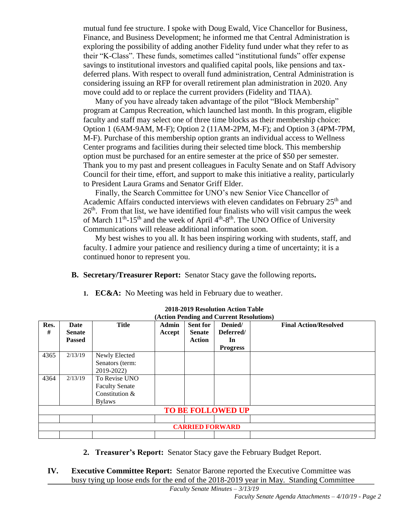mutual fund fee structure. I spoke with Doug Ewald, Vice Chancellor for Business, Finance, and Business Development; he informed me that Central Administration is exploring the possibility of adding another Fidelity fund under what they refer to as their "K-Class". These funds, sometimes called "institutional funds" offer expense savings to institutional investors and qualified capital pools, like pensions and taxdeferred plans. With respect to overall fund administration, Central Administration is considering issuing an RFP for overall retirement plan administration in 2020. Any move could add to or replace the current providers (Fidelity and TIAA).

Many of you have already taken advantage of the pilot "Block Membership" program at Campus Recreation, which launched last month. In this program, eligible faculty and staff may select one of three time blocks as their membership choice: Option 1 (6AM-9AM, M-F); Option 2 (11AM-2PM, M-F); and Option 3 (4PM-7PM, M-F). Purchase of this membership option grants an individual access to Wellness Center programs and facilities during their selected time block. This membership option must be purchased for an entire semester at the price of \$50 per semester. Thank you to my past and present colleagues in Faculty Senate and on Staff Advisory Council for their time, effort, and support to make this initiative a reality, particularly to President Laura Grams and Senator Griff Elder.

Finally, the Search Committee for UNO's new Senior Vice Chancellor of Academic Affairs conducted interviews with eleven candidates on February  $25<sup>th</sup>$  and  $26<sup>th</sup>$ . From that list, we have identified four finalists who will visit campus the week of March  $11<sup>th</sup>$ -15<sup>th</sup> and the week of April  $4<sup>th</sup>$ -8<sup>th</sup>. The UNO Office of University Communications will release additional information soon.

My best wishes to you all. It has been inspiring working with students, staff, and faculty. I admire your patience and resiliency during a time of uncertainty; it is a continued honor to represent you.

- **B. Secretary/Treasurer Report:** Senator Stacy gave the following reports**.**
	- **1. EC&A:** No Meeting was held in February due to weather.

| Res.<br># | Date<br><b>Senate</b><br><b>Passed</b> | <b>Title</b>                                                              | <b>Admin</b><br>Accept | <b>Sent for</b><br><b>Senate</b><br><b>Action</b> | Denied/<br>Deferred/<br>In<br><b>Progress</b> | <b>Final Action/Resolved</b> |
|-----------|----------------------------------------|---------------------------------------------------------------------------|------------------------|---------------------------------------------------|-----------------------------------------------|------------------------------|
| 4365      | 2/13/19                                | Newly Elected<br>Senators (term:<br>2019-2022)                            |                        |                                                   |                                               |                              |
| 4364      | 2/13/19                                | To Revise UNO<br><b>Faculty Senate</b><br>Constitution &<br><b>Bylaws</b> |                        |                                                   |                                               |                              |
|           |                                        |                                                                           |                        |                                                   | <b>TO BE FOLLOWED UP</b>                      |                              |
|           |                                        |                                                                           |                        | <b>CARRIED FORWARD</b>                            |                                               |                              |

**2018-2019 Resolution Action Table**

- **2. Treasurer's Report:** Senator Stacy gave the February Budget Report.
- **IV. Executive Committee Report:** Senator Barone reported the Executive Committee was busy tying up loose ends for the end of the 2018-2019 year in May. Standing Committee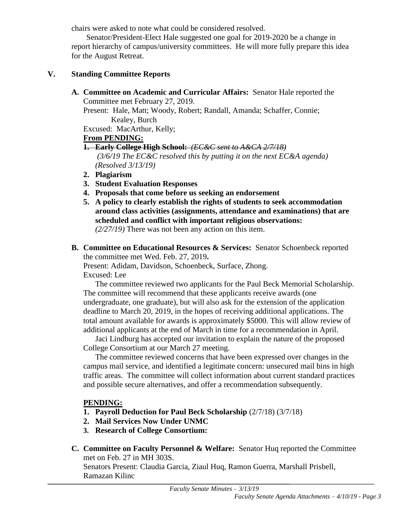chairs were asked to note what could be considered resolved.

Senator/President-Elect Hale suggested one goal for 2019-2020 be a change in report hierarchy of campus/university committees. He will more fully prepare this idea for the August Retreat.

### **V. Standing Committee Reports**

**A. Committee on Academic and Curricular Affairs:** Senator Hale reported the Committee met February 27, 2019.

Present: Hale, Matt; Woody, Robert; Randall, Amanda; Schaffer, Connie; Kealey, Burch

Excused: MacArthur, Kelly;

## **From PENDING:**

**1. Early College High School:** *(EC&C sent to A&CA 2/7/18)* *(3/6/19 The EC&C resolved this by putting it on the next EC&A agenda)*

*(Resolved 3/13/19)*

- **2. Plagiarism**
- **3. Student Evaluation Responses**
- **4. Proposals that come before us seeking an endorsement**
- **5. A policy to clearly establish the rights of students to seek accommodation around class activities (assignments, attendance and examinations) that are scheduled and conflict with important religious observations:** *(2/27/19)* There was not been any action on this item.
- **B. Committee on Educational Resources & Services:** Senator Schoenbeck reported the committee met Wed. Feb. 27, 2019**.**

Present: Adidam, Davidson, Schoenbeck, Surface, Zhong. Excused: Lee

The committee reviewed two applicants for the Paul Beck Memorial Scholarship. The committee will recommend that these applicants receive awards (one undergraduate, one graduate), but will also ask for the extension of the application deadline to March 20, 2019, in the hopes of receiving additional applications. The total amount available for awards is approximately \$5000. This will allow review of additional applicants at the end of March in time for a recommendation in April.

Jaci Lindburg has accepted our invitation to explain the nature of the proposed College Consortium at our March 27 meeting.

The committee reviewed concerns that have been expressed over changes in the campus mail service, and identified a legitimate concern: unsecured mail bins in high traffic areas. The committee will collect information about current standard practices and possible secure alternatives, and offer a recommendation subsequently.

## **PENDING:**

- **1. Payroll Deduction for Paul Beck Scholarship** (2/7/18) (3/7/18)
- **2. Mail Services Now Under UNMC**
- **3. Research of College Consortium:**
- **C. Committee on Faculty Personnel & Welfare:** Senator Huq reported the Committee met on Feb. 27 in MH 303S.

Senators Present: Claudia Garcia, Ziaul Huq, Ramon Guerra, Marshall Prisbell, Ramazan Kilinc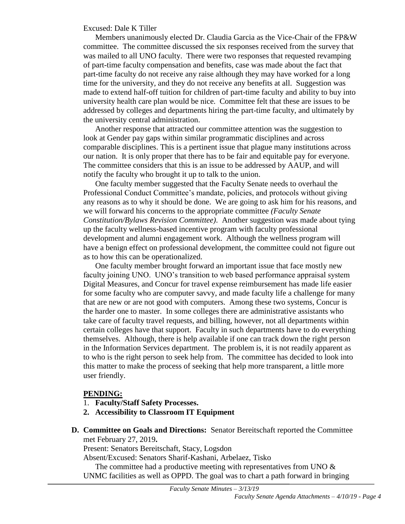#### Excused: Dale K Tiller

Members unanimously elected Dr. Claudia Garcia as the Vice-Chair of the FP&W committee. The committee discussed the six responses received from the survey that was mailed to all UNO faculty. There were two responses that requested revamping of part-time faculty compensation and benefits, case was made about the fact that part-time faculty do not receive any raise although they may have worked for a long time for the university, and they do not receive any benefits at all. Suggestion was made to extend half-off tuition for children of part-time faculty and ability to buy into university health care plan would be nice. Committee felt that these are issues to be addressed by colleges and departments hiring the part-time faculty, and ultimately by the university central administration.

Another response that attracted our committee attention was the suggestion to look at Gender pay gaps within similar programmatic disciplines and across comparable disciplines. This is a pertinent issue that plague many institutions across our nation. It is only proper that there has to be fair and equitable pay for everyone. The committee considers that this is an issue to be addressed by AAUP, and will notify the faculty who brought it up to talk to the union.

One faculty member suggested that the Faculty Senate needs to overhaul the Professional Conduct Committee's mandate, policies, and protocols without giving any reasons as to why it should be done. We are going to ask him for his reasons, and we will forward his concerns to the appropriate committee *(Faculty Senate Constitution/Bylaws Revision Committee)*. Another suggestion was made about tying up the faculty wellness-based incentive program with faculty professional development and alumni engagement work. Although the wellness program will have a benign effect on professional development, the committee could not figure out as to how this can be operationalized.

One faculty member brought forward an important issue that face mostly new faculty joining UNO. UNO's transition to web based performance appraisal system Digital Measures, and Concur for travel expense reimbursement has made life easier for some faculty who are computer savvy, and made faculty life a challenge for many that are new or are not good with computers. Among these two systems, Concur is the harder one to master. In some colleges there are administrative assistants who take care of faculty travel requests, and billing, however, not all departments within certain colleges have that support. Faculty in such departments have to do everything themselves. Although, there is help available if one can track down the right person in the Information Services department. The problem is, it is not readily apparent as to who is the right person to seek help from. The committee has decided to look into this matter to make the process of seeking that help more transparent, a little more user friendly.

#### **PENDING:**

- 1. **Faculty/Staff Safety Processes.**
- **2. Accessibility to Classroom IT Equipment**
- **D. Committee on Goals and Directions:** Senator Bereitschaft reported the Committee met February 27, 2019**.**

Present: Senators Bereitschaft, Stacy, Logsdon

Absent/Excused: Senators Sharif-Kashani, Arbelaez, Tisko

The committee had a productive meeting with representatives from UNO  $\&$ UNMC facilities as well as OPPD. The goal was to chart a path forward in bringing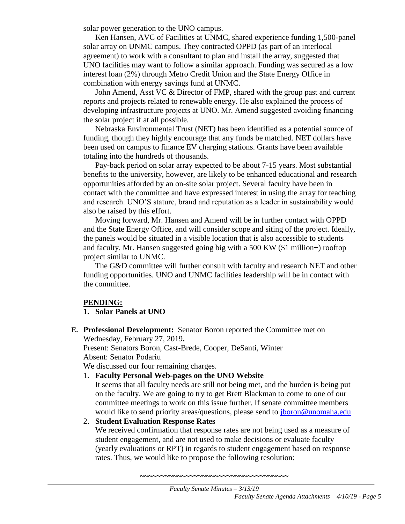solar power generation to the UNO campus.

Ken Hansen, AVC of Facilities at UNMC, shared experience funding 1,500-panel solar array on UNMC campus. They contracted OPPD (as part of an interlocal agreement) to work with a consultant to plan and install the array, suggested that UNO facilities may want to follow a similar approach. Funding was secured as a low interest loan (2%) through Metro Credit Union and the State Energy Office in combination with energy savings fund at UNMC.

John Amend, Asst VC & Director of FMP, shared with the group past and current reports and projects related to renewable energy. He also explained the process of developing infrastructure projects at UNO. Mr. Amend suggested avoiding financing the solar project if at all possible.

Nebraska Environmental Trust (NET) has been identified as a potential source of funding, though they highly encourage that any funds be matched. NET dollars have been used on campus to finance EV charging stations. Grants have been available totaling into the hundreds of thousands.

Pay-back period on solar array expected to be about 7-15 years. Most substantial benefits to the university, however, are likely to be enhanced educational and research opportunities afforded by an on-site solar project. Several faculty have been in contact with the committee and have expressed interest in using the array for teaching and research. UNO'S stature, brand and reputation as a leader in sustainability would also be raised by this effort.

Moving forward, Mr. Hansen and Amend will be in further contact with OPPD and the State Energy Office, and will consider scope and siting of the project. Ideally, the panels would be situated in a visible location that is also accessible to students and faculty. Mr. Hansen suggested going big with a 500 KW (\$1 million+) rooftop project similar to UNMC.

The G&D committee will further consult with faculty and research NET and other funding opportunities. UNO and UNMC facilities leadership will be in contact with the committee.

#### **PENDING:**

#### **1. Solar Panels at UNO**

**E. Professional Development:** Senator Boron reported the Committee met on Wednesday, February 27, 2019**.**

Present: Senators Boron, Cast-Brede, Cooper, DeSanti, Winter Absent: Senator Podariu

We discussed our four remaining charges.

1. **Faculty Personal Web-pages on the UNO Website**

It seems that all faculty needs are still not being met, and the burden is being put on the faculty. We are going to try to get Brett Blackman to come to one of our committee meetings to work on this issue further. If senate committee members would like to send priority areas/questions, please send to *jboron@unomaha.edu* 

#### 2. **Student Evaluation Response Rates**

We received confirmation that response rates are not being used as a measure of student engagement, and are not used to make decisions or evaluate faculty (yearly evaluations or RPT) in regards to student engagement based on response rates. Thus, we would like to propose the following resolution: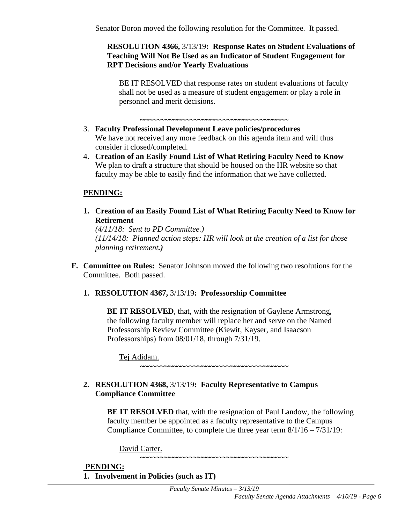Senator Boron moved the following resolution for the Committee. It passed.

#### **RESOLUTION 4366,** 3/13/19**: Response Rates on Student Evaluations of Teaching Will Not Be Used as an Indicator of Student Engagement for RPT Decisions and/or Yearly Evaluations**

BE IT RESOLVED that response rates on student evaluations of faculty shall not be used as a measure of student engagement or play a role in personnel and merit decisions.

**~~~~~~~~~~~~~~~~~~~~~~~~~~~~~~~~~~~~**

- 3. **Faculty Professional Development Leave policies/procedures** We have not received any more feedback on this agenda item and will thus consider it closed/completed.
- 4. **Creation of an Easily Found List of What Retiring Faculty Need to Know** We plan to draft a structure that should be housed on the HR website so that faculty may be able to easily find the information that we have collected.

#### **PENDING:**

**1. Creation of an Easily Found List of What Retiring Faculty Need to Know for Retirement**

*(4/11/18: Sent to PD Committee.) (11/14/18: Planned action steps: HR will look at the creation of a list for those planning retirement.)*

**F. Committee on Rules:** Senator Johnson moved the following two resolutions for the Committee. Both passed.

#### **1. RESOLUTION 4367,** 3/13/19**: Professorship Committee**

**BE IT RESOLVED**, that, with the resignation of Gaylene Armstrong, the following faculty member will replace her and serve on the Named Professorship Review Committee (Kiewit, Kayser, and Isaacson Professorships) from 08/01/18, through 7/31/19.

Tej Adidam.

**~~~~~~~~~~~~~~~~~~~~~~~~~~~~~~~~~~~~**

#### **2. RESOLUTION 4368,** 3/13/19**: Faculty Representative to Campus Compliance Committee**

**BE IT RESOLVED** that, with the resignation of Paul Landow, the following faculty member be appointed as a faculty representative to the Campus Compliance Committee, to complete the three year term 8/1/16 – 7/31/19:

**~~~~~~~~~~~~~~~~~~~~~~~~~~~~~~~~~~~~**

David Carter.

#### **PENDING: 1. Involvement in Policies (such as IT)**